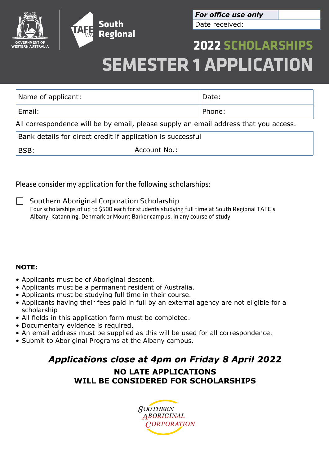



*For office use only* Date received:

# **2022 SCHOLARSHIPS SEMESTER 1 APPLICATION**

| Name of applicant:                                                                   | Date:  |  |  |  |
|--------------------------------------------------------------------------------------|--------|--|--|--|
| Email:                                                                               | Phone: |  |  |  |
| All correspondence will be by email, please supply an email address that you access. |        |  |  |  |
| Bank details for direct credit if application is successful                          |        |  |  |  |

Please consider my application for the following scholarships:

 $\Box$  Southern Aboriginal Corporation Scholarship Four scholarships of up to \$500 each for students studying full time at South Regional TAFE's Albany, Katanning, Denmark or Mount Barker campus, in any course of study

#### **NOTE:**

- Applicants must be of Aboriginal descent.
- Applicants must be a permanent resident of Australia.
- Applicants must be studying full time in their course.
- Applicants having their fees paid in full by an external agency are not eligible for a scholarship
- All fields in this application form must be completed.
- Documentary evidence is required.
- An email address must be supplied as this will be used for all correspondence.
- Submit to Aboriginal Programs at the Albany campus.

## *Applications close at 4pm on Friday 8 April 2022* **NO LATE APPLICATIONS WILL BE CONSIDERED FOR SCHOLARSHIPS**

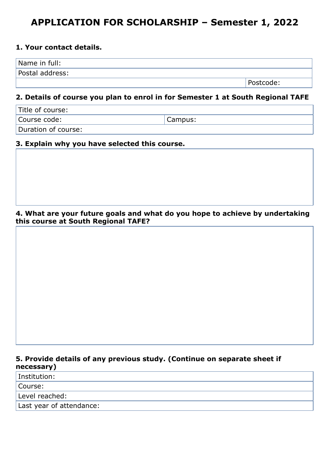## **APPLICATION FOR SCHOLARSHIP – Semester 1, 2022**

#### **1. Your contact details.**

| Name in full:   |  |
|-----------------|--|
| Postal address: |  |

Postcode:

#### **2. Details of course you plan to enrol in for Semester 1 at South Regional TAFE**

| Title of course:    |         |
|---------------------|---------|
| Course code:        | Campus: |
| Duration of course: |         |

#### **3. Explain why you have selected this course.**

#### **4. What are your future goals and what do you hope to achieve by undertaking this course at South Regional TAFE?**

#### **5. Provide details of any previous study. (Continue on separate sheet if necessary)**

Institution:

Course: Level reached:

Last year of attendance: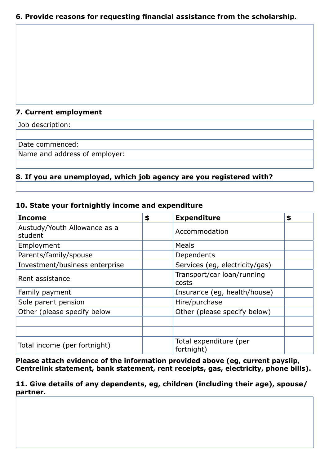#### **6. Provide reasons for requesting financial assistance from the scholarship.**

#### **7. Current employment**

Job description:

Date commenced:

Name and address of employer:

#### **8. If you are unemployed, which job agency are you registered with?**

#### **10. State your fortnightly income and expenditure**

| <b>Income</b>                           | \$<br><b>Expenditure</b>             | \$ |
|-----------------------------------------|--------------------------------------|----|
| Austudy/Youth Allowance as a<br>student | Accommodation                        |    |
| Employment                              | Meals                                |    |
| Parents/family/spouse                   | Dependents                           |    |
| Investment/business enterprise          | Services (eg, electricity/gas)       |    |
| Rent assistance                         | Transport/car loan/running<br>costs  |    |
| Family payment                          | Insurance (eg, health/house)         |    |
| Sole parent pension                     | Hire/purchase                        |    |
| Other (please specify below             | Other (please specify below)         |    |
|                                         |                                      |    |
|                                         |                                      |    |
| Total income (per fortnight)            | Total expenditure (per<br>fortnight) |    |

**Please attach evidence of the information provided above (eg, current payslip, Centrelink statement, bank statement, rent receipts, gas, electricity, phone bills).**

**11. Give details of any dependents, eg, children (including their age), spouse/ partner.**